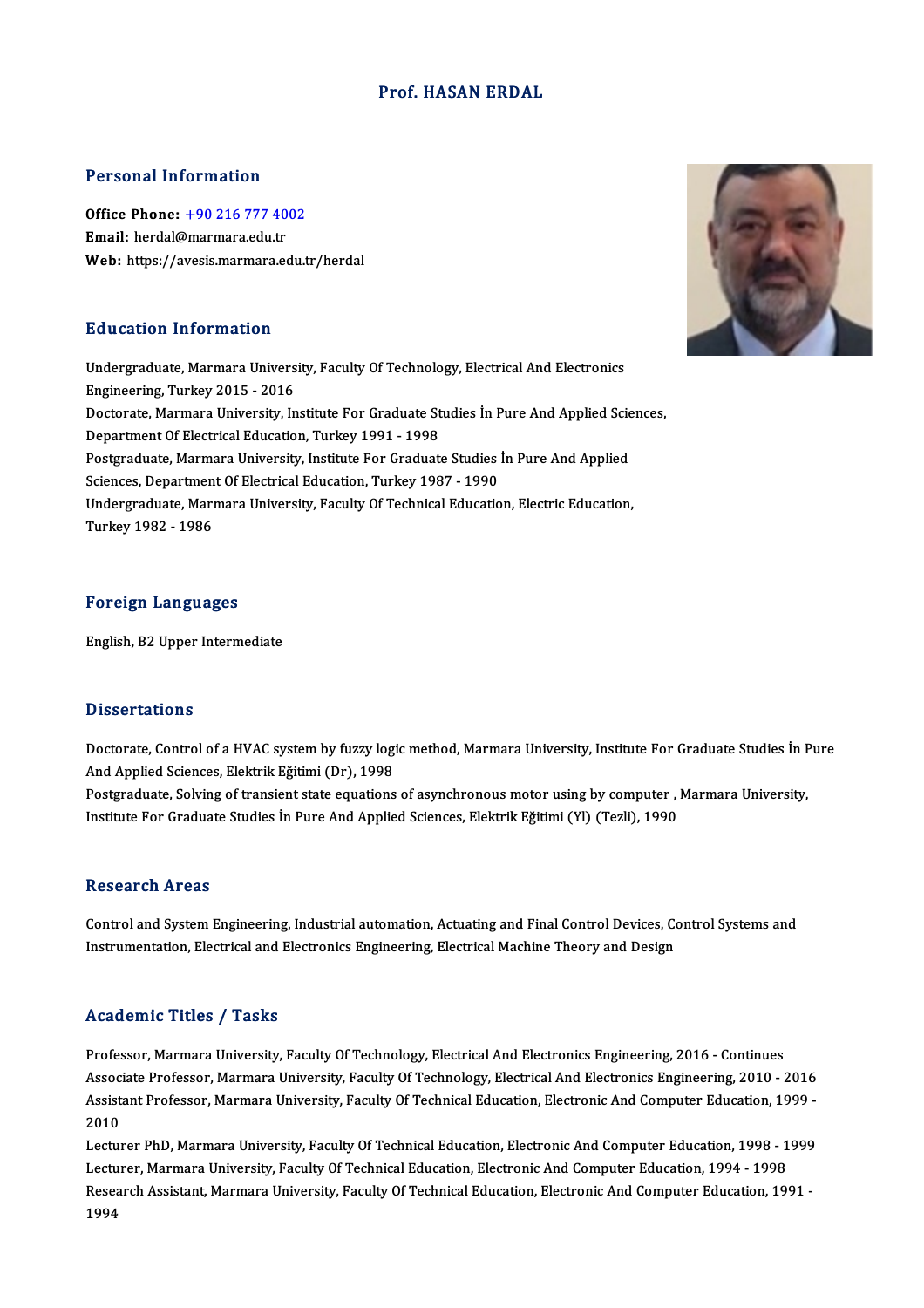## Prof.HASAN ERDAL

#### Personal Information

Personal Information<br>Office Phone: <u>+90 216 777 4002</u><br>Email: bordal@marmara.cdu.tr Ferdal Information<br>Office Phone: <u>+90 216 777 40</u><br>Email: herdal[@marmara.edu.tr](tel:+90 216 777 4002) Email: herdal@marmara.edu.tr<br>Web: https://avesis.marmara.edu.tr/herdal

### Education Information

E**ducation Information**<br>Undergraduate, Marmara University, Faculty Of Technology, Electrical And Electronics<br>Engineering, Turkey 2015 – 2016 Engineering, Marmara Univers<br>Undergraduate, Marmara Univers<br>Engineering, Turkey 2015 - 2016<br>Desterate Marmara University In Undergraduate, Marmara University, Faculty Of Technology, Electrical And Electronics<br>Engineering, Turkey 2015 - 2016<br>Doctorate, Marmara University, Institute For Graduate Studies İn Pure And Applied Sciences,<br>Penartment Of Engineering, Turkey 2015 - 2016<br>Doctorate, Marmara University, Institute For Graduate St<br>Department Of Electrical Education, Turkey 1991 - 1998<br>Restanduate Marmara University, Institute For Craduat Doctorate, Marmara University, Institute For Graduate Studies İn Pure And Applied Scie<br>Department Of Electrical Education, Turkey 1991 - 1998<br>Postgraduate, Marmara University, Institute For Graduate Studies İn Pure And App Department Of Electrical Education, Turkey 1991 - 1998<br>Postgraduate, Marmara University, Institute For Graduate Studies<br>Sciences, Department Of Electrical Education, Turkey 1987 - 1990<br>Undergraduate Marmara University, Fac Postgraduate, Marmara University, Institute For Graduate Studies İn Pure And Applied<br>Sciences, Department Of Electrical Education, Turkey 1987 - 1990<br>Undergraduate, Marmara University, Faculty Of Technical Education, Elect Sciences, Departmen<br>Undergraduate, Marı<br>Turkey 1982 - 1986

#### Foreign Languages

English,B2Upper Intermediate

#### **Dissertations**

Dissertations<br>Doctorate, Control of a HVAC system by fuzzy logic method, Marmara University, Institute For Graduate Studies İn Pure<br>And Annlied Sciences, Flektrik Făițimi (Dr), 1999 And Applied Sciences, Elektrik Eğitimi (Dr), 1998 Doctorate, Control of a HVAC system by fuzzy logic method, Marmara University, Institute For Graduate Studies İn F<br>And Applied Sciences, Elektrik Eğitimi (Dr), 1998<br>Postgraduate, Solving of transient state equations of asy

Postgraduate, Solving of transient state equations of asynchronous motor using by computer , Marmara University,<br>Institute For Graduate Studies İn Pure And Applied Sciences, Elektrik Eğitimi (Yl) (Tezli), 1990

#### Research Areas

Research Areas<br>Control and System Engineering, Industrial automation, Actuating and Final Control Devices, Control Systems and<br>Instrumentation, Electrical and Electronics Engineering, Electrical Machine Theory and Design Itesear en III eas<br>Control and System Engineering, Industrial automation, Actuating and Final Control Devices, Co<br>Instrumentation, Electrical and Electronics Engineering, Electrical Machine Theory and Design Instrumentation, Electrical and Electronics Engineering, Electrical Machine Theory and Design<br>Academic Titles / Tasks

Professor, Marmara University, Faculty Of Technology, Electrical And Electronics Engineering, 2016 - Continues Associate Article 7, Austic<br>Professor, Marmara University, Faculty Of Technology, Electrical And Electronics Engineering, 2016 - Continues<br>Associate Professor, Marmara University, Faculty Of Technology, Electrical And Elec Professor, Marmara University, Faculty Of Technology, Electrical And Electronics Engineering, 2016 - Continues<br>Associate Professor, Marmara University, Faculty Of Technology, Electrical And Electronics Engineering, 2010 - Assoc<br>Assist<br>2010<br>Lectur Assistant Professor, Marmara University, Faculty Of Technical Education, Electronic And Computer Education, 1999 -<br>2010<br>Lecturer PhD, Marmara University, Faculty Of Technical Education, Electronic And Computer Education, 1

2010<br>Lecturer PhD, Marmara University, Faculty Of Technical Education, Electronic And Computer Education, 1998 - 1<br>Lecturer, Marmara University, Faculty Of Technical Education, Electronic And Computer Education, 1994 - 199 Lecturer PhD, Marmara University, Faculty Of Technical Education, Electronic And Computer Education, 1998 - 1999<br>Lecturer, Marmara University, Faculty Of Technical Education, Electronic And Computer Education, 1994 - 1998<br> Research Assistant, Marmara University, Faculty Of Technical Education, Electronic And Computer Education, 1991 -<br>1994

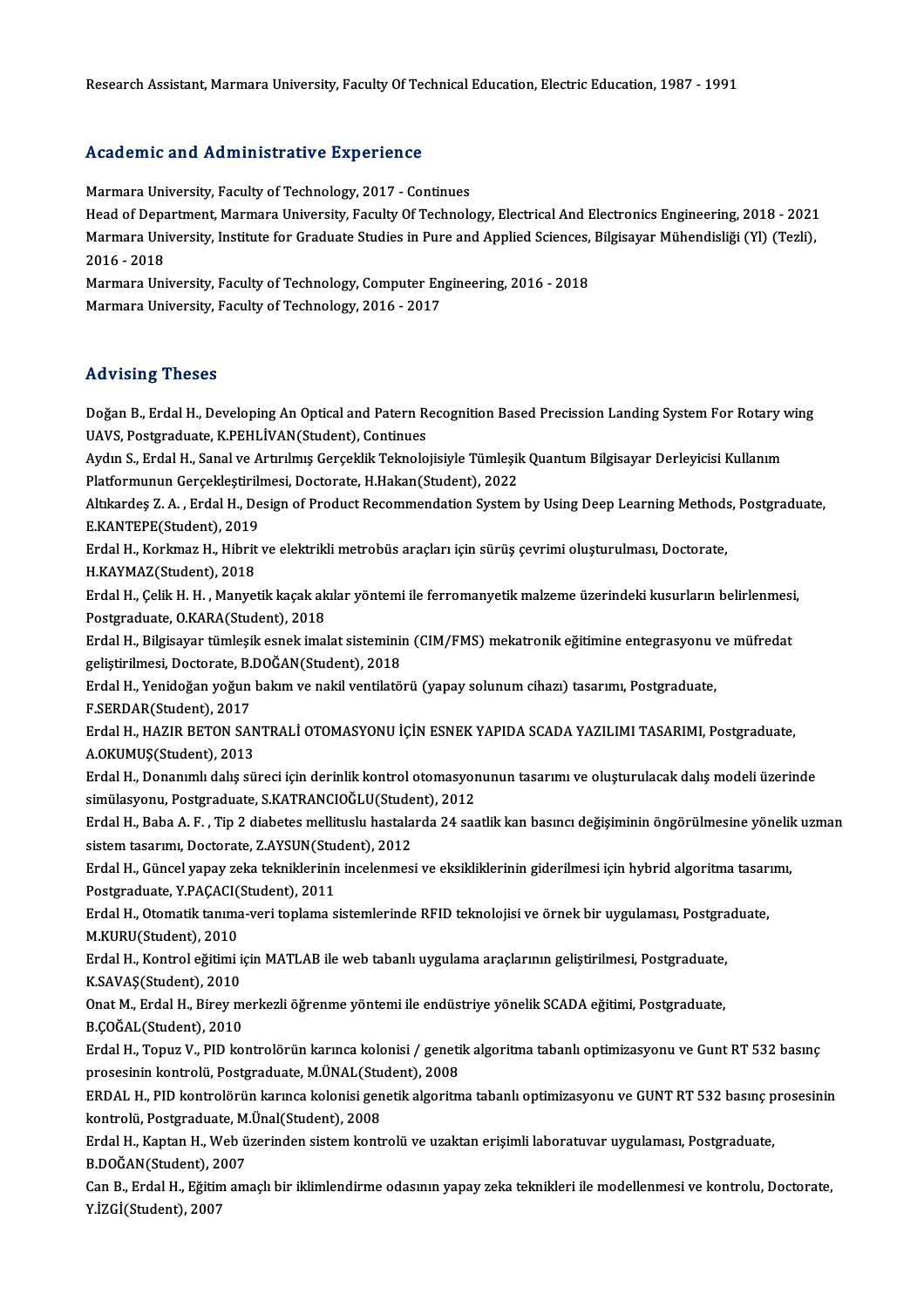Research Assistant, Marmara University, Faculty Of Technical Education, Electric Education, 1987 - 1991

### Academic and Administrative Experience

Marmara University, Faculty of Technology, 2017 - Continues Head office and Hammistical of Tep offense<br>Marmara University, Faculty of Technology, 2017 - Continues<br>Head of Department, Marmara University, Faculty Of Technology, Electrical And Electronics Engineering, 2018 - 2021<br>Marm Marmara University, Faculty of Technology, 2017 - Continues<br>Head of Department, Marmara University, Faculty Of Technology, Electrical And Electronics Engineering, 2018 - 2021<br>Marmara University, Institute for Graduate Stud Head of Depa<br>Marmara Uni<br>2016 - 2018<br>Marmara Uni Marmara University, Institute for Graduate Studies in Pure and Applied Sciences, Bilgisayar Mühendisliği (Yl) (Tezli),<br>2016 - 2018<br>Marmara University, Faculty of Technology, Computer Engineering, 2016 - 2018<br>Marmara Univer Marmara University, Faculty of Technology, Computer Engineering, 2016 - 2018

#### Advising Theses

Advising Theses<br>Doğan B., Erdal H., Developing An Optical and Patern Recognition Based Precission Landing System For Rotary wing<br>UAVS. Pestanadusta K.P.EHL İVAN(Student), Centinues UAVS, Postgraduate, K.PEHLİVAN(Student), Continues<br>Aydın S., Erdal H., Sanal ve Artırılmış Gerçeklik Teknolojisiyle Tümlesik Quantum Bilgisayar Derleyicisi Kullanım Doğan B., Erdal H., Developing An Optical and Patern Recognition Based Precission Landing System For Rotary v<br>UAVS, Postgraduate, K.PEHLİVAN(Student), Continues<br>Aydın S., Erdal H., Sanal ve Artırılmış Gerçeklik Teknolojisi

UAVS, Postgraduate, K.PEHLİVAN(Student), Continues<br>Aydın S., Erdal H., Sanal ve Artırılmış Gerçeklik Teknolojisiyle Tümleşil<br>Platformunun Gerçekleştirilmesi, Doctorate, H.Hakan(Student), 2022<br>Altkardes Z.A., Erdal H. Dosia Aydın S., Erdal H., Sanal ve Artırılmış Gerçeklik Teknolojisiyle Tümleşik Quantum Bilgisayar Derleyicisi Kullanım<br>Platformunun Gerçekleştirilmesi, Doctorate, H.Hakan(Student), 2022<br>Altıkardeş Z. A. , Erdal H., Design of Pr

Platformunun Gerçekleştirili<br>Altıkardeş Z. A. , Erdal H., De<br>E.KANTEPE(Student), 2019<br>Erdal H. Korkmaz H. Hibrit Altıkardeş Z. A. , Erdal H., Design of Product Recommendation System by Using Deep Learning Method:<br>E.KANTEPE(Student), 2019<br>Erdal H., Korkmaz H., Hibrit ve elektrikli metrobüs araçları için sürüş çevrimi oluşturulması, Do

E.KANTEPE(Student), 2019<br>Erdal H., Korkmaz H., Hibrit ve elektrikli metrobüs araçları için sürüş çevrimi oluşturulması, Doctorate,<br>H.KAYMAZ(Student), 2018

Erdal H., Korkmaz H., Hibrit ve elektrikli metrobüs araçları için sürüş çevrimi oluşturulması, Doctorate,<br>H.KAYMAZ(Student), 2018<br>Erdal H., Çelik H. H. , Manyetik kaçak akılar yöntemi ile ferromanyetik malzeme üzerindeki k H.KAYMAZ(Student), 2018<br>Erdal H., Çelik H. H. , Manyetik kaçak ak<br>Postgraduate, O.KARA(Student), 2018<br>Erdal H. Bilsisayar tümlesik espek imal Erdal H., Çelik H. H. , Manyetik kaçak akılar yöntemi ile ferromanyetik malzeme üzerindeki kusurların belirlenmesi<br>Postgraduate, O.KARA(Student), 2018<br>Erdal H., Bilgisayar tümleşik esnek imalat sisteminin (CIM/FMS) mekatro

Postgraduate, O.KARA(Student), 2018<br>Erdal H., Bilgisayar tümleşik esnek imalat sisteminin (CIM/FMS) mekatronik eğitimine entegrasyonu ve müfredat<br>gelistirilmesi, Doctorate, B.DOĞAN(Student), 2018 Erdal H., Bilgisayar tümleşik esnek imalat sisteminin (CIM/FMS) mekatronik eğitimine entegrasyonu v<br>geliştirilmesi, Doctorate, B.DOĞAN(Student), 2018<br>Erdal H., Yenidoğan yoğun bakım ve nakil ventilatörü (yapay solunum ciha

geliştirilmesi, Doctorate, B.<br>Erdal H., Yenidoğan yoğun<br>F.SERDAR(Student), 2017<br>Erdal H., HAZIP PETON SAI Erdal H., Yenidoğan yoğun bakım ve nakil ventilatörü (yapay solunum cihazı) tasarımı, Postgraduate,<br>F.SERDAR(Student), 2017<br>Erdal H., HAZIR BETON SANTRALİ OTOMASYONU İÇİN ESNEK YAPIDA SCADA YAZILIMI TASARIMI, Postgraduate,

F.SERDAR(Student), 2017<br>Erdal H., HAZIR BETON SAN<br>A.OKUMUŞ(Student), 2013<br>Erdal H., Donanmlı dalış aü Erdal H., HAZIR BETON SANTRALİ OTOMASYONU İÇİN ESNEK YAPIDA SCADA YAZILIMI TASARIMI, Postgraduate,<br>A.OKUMUŞ(Student), 2013<br>Erdal H., Donanımlı dalış süreci için derinlik kontrol otomasyonunun tasarımı ve oluşturulacak dalı

A.OKUMUŞ(Student), 2013<br>Erdal H., Donanımlı dalış süreci için derinlik kontrol otomasyor<br>simülasyonu, Postgraduate, S.KATRANCIOĞLU(Student), 2012<br>Erdal H., Baba A. E., Tin 2 diabates mallituslu hastalarda 24 ses Erdal H., Donanımlı dalış süreci için derinlik kontrol otomasyonunun tasarımı ve oluşturulacak dalış modeli üzerinde<br>simülasyonu, Postgraduate, S.KATRANCIOĞLU(Student), 2012<br>Erdal H., Baba A. F. , Tip 2 diabetes mellituslu

simülasyonu, Postgraduate, S.KATRANCIOĞLU(Stude<br>Erdal H., Baba A. F. , Tip 2 diabetes mellituslu hastala<br>sistem tasarımı, Doctorate, Z.AYSUN(Student), 2012<br>Frdal H. Güncel vanav geka tekniklerinin incelenmesi Erdal H., Baba A. F. , Tip 2 diabetes mellituslu hastalarda 24 saatlik kan basıncı değişiminin öngörülmesine yönelil<br>sistem tasarımı, Doctorate, Z.AYSUN(Student), 2012<br>Erdal H., Güncel yapay zeka tekniklerinin incelenmesi

sistem tasarımı, Doctorate, Z.AYSUN(Student)<br>Erdal H., Güncel yapay zeka tekniklerinin<br>Postgraduate, Y.PAÇACI(Student), 2011<br>Erdal H., Otomatik tanıma yoni tanlama s

Erdal H., Güncel yapay zeka tekniklerinin incelenmesi ve eksikliklerinin giderilmesi için hybrid algoritma tasarımı,<br>Postgraduate, Y.PAÇACI(Student), 2011<br>Erdal H., Otomatik tanıma-veri toplama sistemlerinde RFID teknoloji Postgraduate, Y.PAÇACI(<br>Erdal H., Otomatik tanıma<br>M.KURU(Student), 2010<br>Erdal H., Kantrol eğitimi Erdal H., Otomatik tanıma-veri toplama sistemlerinde RFID teknolojisi ve örnek bir uygulaması, Postgra<br>M.KURU(Student), 2010<br>Erdal H., Kontrol eğitimi için MATLAB ile web tabanlı uygulama araçlarının geliştirilmesi, Postgr

M.KURU(Student), 2010<br>Erdal H., Kontrol eğitimi i<br>K.SAVAŞ(Student), 2010<br>Opat M., Erdal H., Birov m

Erdal H., Kontrol eğitimi için MATLAB ile web tabanlı uygulama araçlarının geliştirilmesi, Postgraduate,<br>K.SAVAŞ(Student), 2010<br>Onat M., Erdal H., Birey merkezli öğrenme yöntemi ile endüstriye yönelik SCADA eğitimi, Postgr K.SAVAŞ(Student), 2010<br>Onat M., Erdal H., Birey merkezli öğrenme yöntemi ile endüstriye yönelik SCADA eğitimi, Postgraduate,<br>B.ÇOĞAL(Student), 2010

Erdal H., Topuz V., PID kontrolörün karınca kolonisi / genetik algoritma tabanlı optimizasyonu ve Gunt RT 532 basınç prosesinin kontrolü, Postgraduate, M.ÜNAL(Student), 2008 Erdal H., Topuz V., PID kontrolörün karınca kolonisi / genetik algoritma tabanlı optimizasyonu ve Gunt RT 532 basınç<br>prosesinin kontrolü, Postgraduate, M.ÜNAL(Student), 2008<br>ERDAL H., PID kontrolörün karınca kolonisi genet

prosesinin kontrolü, Postgraduate, M.ÜNAL(Stu<br>ERDAL H., PID kontrolörün karınca kolonisi gen<br>kontrolü, Postgraduate, M.Ünal(Student), 2008<br>Erdal H., Kontan H., Web üzerinden sistem konti ERDAL H., PID kontrolörün karınca kolonisi genetik algoritma tabanlı optimizasyonu ve GUNT RT 532 basınç p<br>kontrolü, Postgraduate, M.Ünal(Student), 2008<br>Erdal H., Kaptan H., Web üzerinden sistem kontrolü ve uzaktan erişiml kontrolü, Postgraduate, M.Ünal(Student), 2008<br>Erdal H., Kaptan H., Web üzerinden sistem kontrolü ve uzaktan erişimli laboratuvar uygulaması, Postgraduate,

B.DOĞAN(Student), 2007

Can B., Erdal H., Eğitim amaçlı bir iklimlendirme odasının yapay zeka teknikleri ile modellenmesi ve kontrolu, Doctorate,<br>Y.İZGİ(Student), 2007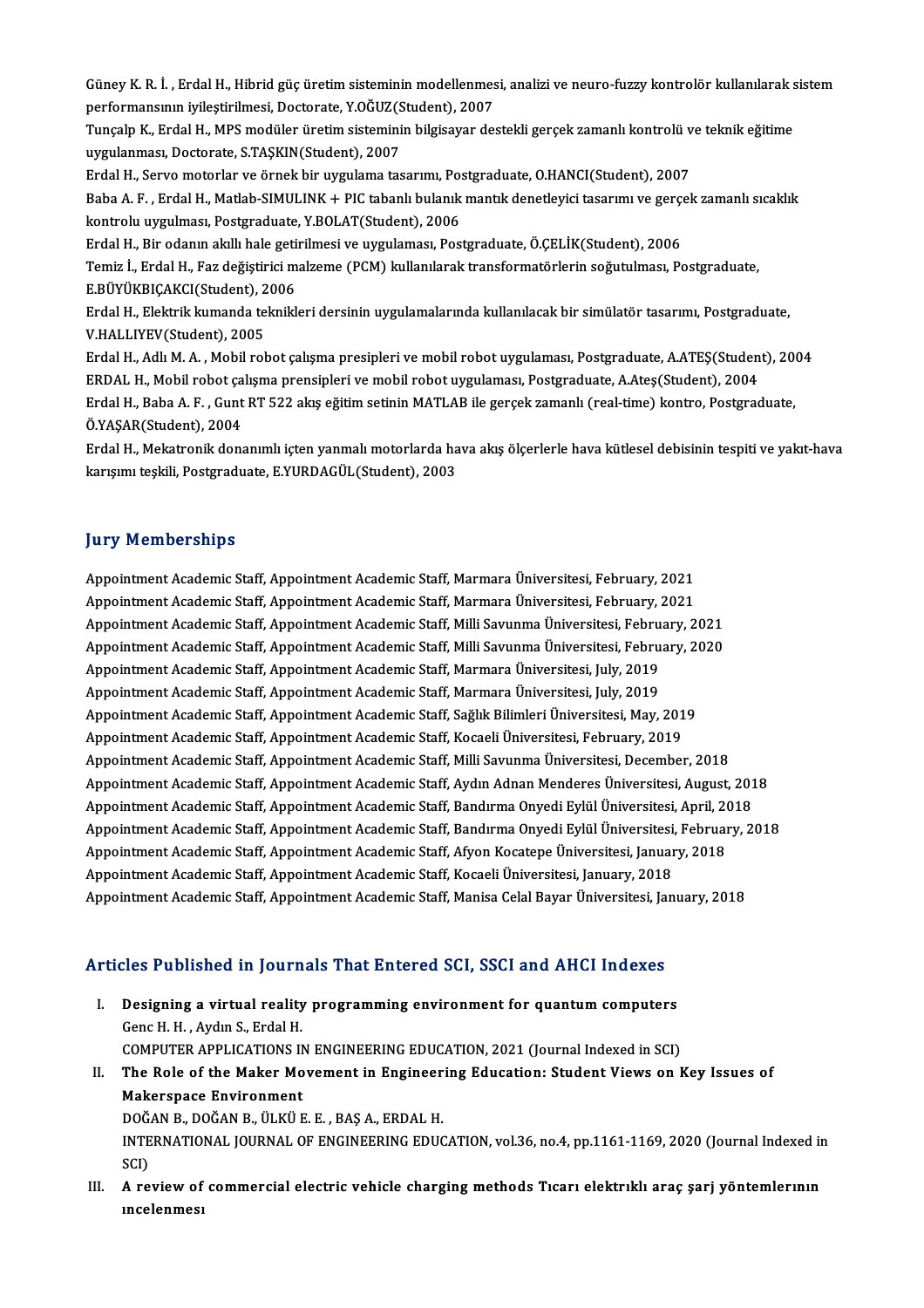Güney K. R. İ. , Erdal H., Hibrid güç üretim sisteminin modellenmesi, analizi ve neuro-fuzzy kontrolör kullanılarak sistem<br>Performansunn ivilestirilmesi, Destorate V.OČUZ(Student), 2007 Güney K. R. İ. , Erdal H., Hibrid güç üretim sisteminin modellenmes<br>performansının iyileştirilmesi, Doctorate, Y.OĞUZ(Student), 2007<br>Tungala K., Erdal H., MBS modüler ünetim sisteminin bilgisever de Güney K. R. İ. , Erdal H., Hibrid güç üretim sisteminin modellenmesi, analizi ve neuro-fuzzy kontrolör kullanılarak s<br>performansının iyileştirilmesi, Doctorate, Y.OĞUZ(Student), 2007<br>Tunçalp K., Erdal H., MPS modüler üreti performansının iyileştirilmesi, Doctorate, Y.OĞUZ(Student), 2007<br>Tunçalp K., Erdal H., MPS modüler üretim sisteminin bilgisayar destekli gerçek zamanlı kontrolü ve teknik eğitime<br>uygulanması, Doctorate, S.TAŞKIN(Student), Tunçalp K., Erdal H., MPS modüler üretim sisteminin bilgisayar destekli gerçek zamanlı kontrolü v<br>uygulanması, Doctorate, S.TAŞKIN(Student), 2007<br>Erdal H., Servo motorlar ve örnek bir uygulama tasarımı, Postgraduate, O.HAN

uygulanması, Doctorate, S.TAŞKIN(Student), 2007<br>Erdal H., Servo motorlar ve örnek bir uygulama tasarımı, Postgraduate, O.HANCI(Student), 2007<br>Baba A. F. , Erdal H., Matlab-SIMULINK + PIC tabanlı bulanık mantık denetleyici Erdal H., Servo motorlar ve örnek bir uygulama tasarımı, Postaba<br>Baba A. F. , Erdal H., Matlab-SIMULINK + PIC tabanlı bulanık<br>kontrolu uygulması, Postgraduate, Y.BOLAT(Student), 2006<br>Erdal H. Bir odanın akıllı bale getiril Baba A. F. , Erdal H., Matlab-SIMULINK + PIC tabanlı bulanık mantık denetleyici tasarımı ve gerç<mark>ı</mark><br>kontrolu uygulması, Postgraduate, Y.BOLAT(Student), 2006<br>Erdal H., Bir odanın akıllı hale getirilmesi ve uygulaması, Postg kontrolu uygulması, Postgraduate, Y.BOLAT(Student), 2006<br>Erdal H., Bir odanın akıllı hale getirilmesi ve uygulaması, Postgraduate, Ö.ÇELİK(Student), 2006<br>Temiz İ., Erdal H., Faz değiştirici malzeme (PCM) kullanılarak trans Erdal H., Bir odanın akıllı hale geti:<br>Temiz İ., Erdal H., Faz değiştirici m<br>E.BÜYÜKBIÇAKCI(Student), 2006<br>Erdal H., Elektrik kumanda teknikl

Temiz İ., Erdal H., Faz değiştirici malzeme (PCM) kullanılarak transformatörlerin soğutulması, Postgraduate,<br>E.BÜYÜKBIÇAKCI(Student), 2006<br>Erdal H., Elektrik kumanda teknikleri dersinin uygulamalarında kullanılacak bir sim E.BÜYÜKBIÇAKCI(Student), 2006<br>Erdal H., Elektrik kumanda teknikleri dersinin uygulamalarında kullanılacak bir simülatör tasarımı, Postgraduate,<br>V.HALLIYEV(Student), 2005

Erdal H., Adlı M. A., Mobil robot çalışma presipleri ve mobil robot uygulaması, Postgraduate, A.ATEŞ(Student), 2004 V.HALLIYEV(Student), 2005<br>Erdal H., Adlı M. A. , Mobil robot çalışma presipleri ve mobil robot uygulaması, Postgraduate, A.ATEŞ(Student<br>ERDAL H., Mobil robot çalışma prensipleri ve mobil robot uygulaması, Postgraduate, A.A Erdal H., Adlı M. A. , Mobil robot çalışma presipleri ve mobil robot uygulaması, Postgraduate, A.ATEŞ(Student), 20<br>ERDAL H., Mobil robot çalışma prensipleri ve mobil robot uygulaması, Postgraduate, A.Ateş(Student), 2004<br>Er ERDAL H., Mobil robot ça<br>Erdal H., Baba A. F. , Gunt<br>Ö.YAŞAR(Student), 2004<br>Erdal H. Makatranik dan

Erdal H., Baba A. F. , Gunt RT 522 akış eğitim setinin MATLAB ile gerçek zamanlı (real-time) kontro, Postgraduate,<br>Ö.YAŞAR(Student), 2004<br>Erdal H., Mekatronik donanımlı içten yanmalı motorlarda hava akış ölçerlerle hava kü Ö.YAŞAR(Student), 2004<br>Erdal H., Mekatronik donanımlı içten yanmalı motorlarda ha<br>karışımı teşkili, Postgraduate, E.YURDAGÜL(Student), 2003 karışımı teşkili, Postgraduate, E.YURDAGÜL(Student), 2003<br>Jury Memberships

Appointment Academic Staff, Appointment Academic Staff, Marmara Üniversitesi, February, 2021 Appointment Academic Staff, Appointment Academic Staff, Marmara Üniversitesi, February, 2021<br>Appointment Academic Staff, Appointment Academic Staff, Marmara Üniversitesi, February, 2021<br>Appointment Academic Staff, Appointm Appointment Academic Staff, Appointment Academic Staff, Marmara Üniversitesi, February, 2021<br>Appointment Academic Staff, Appointment Academic Staff, Marmara Üniversitesi, February, 2021<br>Appointment Academic Staff, Appointm Appointment Academic Staff, Appointment Academic Staff, Marmara Üniversitesi, February, 2021<br>Appointment Academic Staff, Appointment Academic Staff, Milli Savunma Üniversitesi, February, 2021<br>Appointment Academic Staff, Ap Appointment Academic Staff, Appointment Academic Staff, Milli Savunma Üniversitesi, Febru<br>Appointment Academic Staff, Appointment Academic Staff, Milli Savunma Üniversitesi, Febru<br>Appointment Academic Staff, Appointment Ac Appointment Academic Staff, Appointment Academic Staff, Milli Savunma Üniversitesi, Febru<br>Appointment Academic Staff, Appointment Academic Staff, Marmara Üniversitesi, July, 2019<br>Appointment Academic Staff, Appointment Aca Appointment Academic Staff, Appointment Academic Staff, Marmara Üniversitesi, July, 2019<br>Appointment Academic Staff, Appointment Academic Staff, Marmara Üniversitesi, July, 2019<br>Appointment Academic Staff, Appointment Acad Appointment Academic Staff, Appointment Academic Staff, Kocaeli Üniversitesi, February, 2019 Appointment Academic Staff, Appointment Academic Staff, Milli Savunma Üniversitesi, December, 2018 Appointment Academic Staff, Appointment Academic Staff, Kocaeli Üniversitesi, February, 2019<br>Appointment Academic Staff, Appointment Academic Staff, Milli Savunma Üniversitesi, December, 2018<br>Appointment Academic Staff, Ap Appointment Academic Staff, Appointment Academic Staff, Milli Savunma Üniversitesi, December, 2018<br>Appointment Academic Staff, Appointment Academic Staff, Aydın Adnan Menderes Üniversitesi, August, 201<br>Appointment Academic Appointment Academic Staff, Appointment Academic Staff, Bandırma Onyedi Eylül Üniversitesi, April, 2018<br>Appointment Academic Staff, Appointment Academic Staff, Bandırma Onyedi Eylül Üniversitesi, February, 2018 Appointment Academic Staff, Appointment Academic Staff, Bandırma Onyedi Eylül Üniversitesi, April, 20<br>Appointment Academic Staff, Appointment Academic Staff, Bandırma Onyedi Eylül Üniversitesi, Februar<br>Appointment Academic Appointment Academic Staff, Appointment Academic Staff, Bandırma Onyedi Eylül Üniversitesi,<br>Appointment Academic Staff, Appointment Academic Staff, Afyon Kocatepe Üniversitesi, Januar<br>Appointment Academic Staff, Appointmen Appointment Academic Staff, Appointment Academic Staff, Afyon Kocatepe Üniversitesi, January, 2018<br>Appointment Academic Staff, Appointment Academic Staff, Kocaeli Üniversitesi, January, 2018<br>Appointment Academic Staff, App

# Appointment Academic Starl, Appointment Academic Starl, Manisa Celar Bayar Universitest, Ja<br>Articles Published in Journals That Entered SCI, SSCI and AHCI Indexes

- rticles Published in Journals That Entered SCI, SSCI and AHCI Indexes<br>I. Designing a virtual reality programming environment for quantum computers<br>Cana H, H, Aydu S, Erdal H I. Designing a virtual reality programming environment for quantum computers Genc H.H., Aydın S., Erdal H. COMPUTER APPLICATIONS IN ENGINEERING EDUCATION, 2021 (Journal Indexed in SCI)
- II. The Role of the Maker Movement in Engineering Education: Student Views on Key Issues of Makerspace Environment The Role of the Maker Movement in Engineer<br>Makerspace Environment<br>DOĞAN B., DOĞAN B., ÜLKÜ E. E. , BAŞ A., ERDAL H.<br>INTERNATIONAL JOURNAL OF ENGINEERING EDUC

INTERNATIONAL JOURNAL OF ENGINEERING EDUCATION, vol.36, no.4, pp.1161-1169, 2020 (Journal Indexed in<br>SCI) DOĞ.<br>INTE<br>SCI)<br>A.TS INTERNATIONAL JOURNAL OF ENGINEERING EDUCATION, vol.36, no.4, pp.1161-1169, 2020 (Journal Indexed in<br>SCI)<br>III. A review of commercial electric vehicle charging methods Tıcarı elektrıklı araç şarj yöntemlerının<br>IN. A review

SCI)<br>A review of<br>ıncelenmesı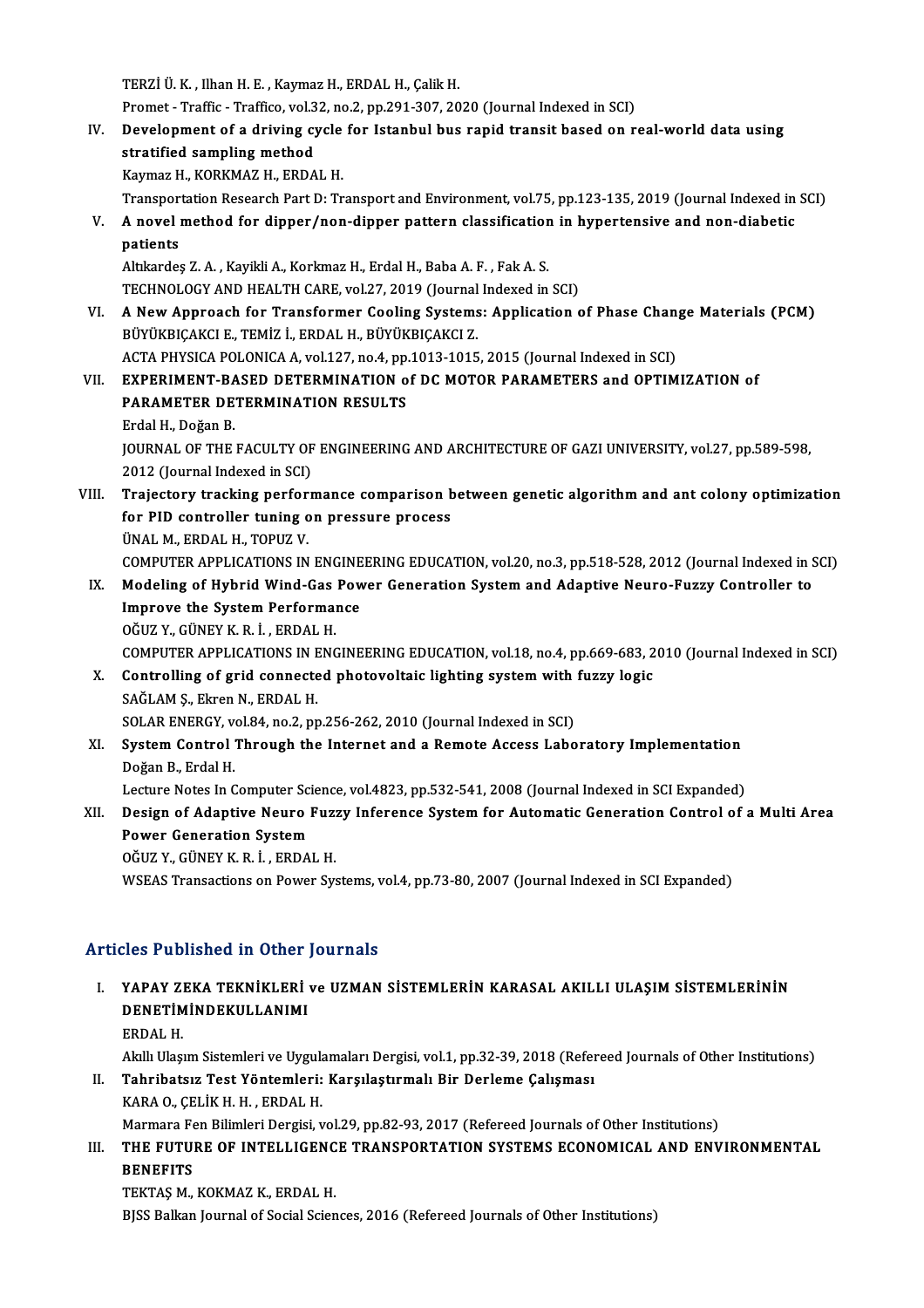TERZİ Ü.K., Ilhan H.E., Kaymaz H., ERDAL H., Çalik H.

Promet - Traffic - Traffico, vol.32, no.2, pp.291-307, 2020 (Journal Indexed in SCI)

TERZİ Ü. K. , Ilhan H. E. , Kaymaz H., ERDAL H., Çalik H.<br>Promet - Traffic - Traffico, vol.32, no.2, pp.291-307, 2020 (Journal Indexed in SCI)<br>IV. Development of a driving cycle for Istanbul bus rapid transit based on Promet - Traffic - Traffico, vol.3<br>Development of a driving cy<br>stratified sampling method<br>Kaymar H, KORKMAZ H, ERDA Development of a driving cycle<br>stratified sampling method<br>Kaymaz H., KORKMAZ H., ERDAL H.<br>Transportation Boscarsh Part D. Tr stratified sampling method<br>Kaymaz H., KORKMAZ H., ERDAL H.<br>Transportation Research Part D: Transport and Environment, vol.75, pp.123-135, 2019 (Journal Indexed in SCI)

Kaymaz H., KORKMAZ H., ERDAL H.<br>Transportation Research Part D: Transport and Environment, vol.75, pp.123-135, 2019 (Journal Indexed in<br>V. A novel method for dipper/non-dipper pattern classification in hypertensive and Transpor<br>**A** novel<br>patients<br>Altkordes A novel method for dipper/non-dipper pattern classification<br>patients<br>Altıkardeş Z.A. , Kayikli A., Korkmaz H., Erdal H., Baba A. F. , Fak A. S.<br>TECHNOLOCY AND HEALTH CAPE vol 27–2019 (Journal Indoved in

patients<br>Altıkardeş Z. A. , Kayikli A., Korkmaz H., Erdal H., Baba A. F. , Fak A. S.<br>TECHNOLOGY AND HEALTH CARE, vol.27, 2019 (Journal Indexed in SCI)

Altıkardeş Z. A. , Kayikli A., Korkmaz H., Erdal H., Baba A. F. , Fak A. S.<br>TECHNOLOGY AND HEALTH CARE, vol.27, 2019 (Journal Indexed in SCI)<br>VI. A New Approach for Transformer Cooling Systems: Application of Phase Change TECHNOLOGY AND HEALTH CARE, vol.27, 2019 (Journal<br>**A New Approach for Transformer Cooling Systems**<br>BÜYÜKBIÇAKCI E., TEMİZ İ., ERDAL H., BÜYÜKBIÇAKCI Z.<br>ACTA BUYSICA BOLONICA A vol.137, no.4, nn.1013, 1015 A New Approach for Transformer Cooling Systems: Application of Phase Chan<br>BÜYÜKBIÇAKCI E., TEMİZ İ., ERDAL H., BÜYÜKBIÇAKCI Z.<br>ACTA PHYSICA POLONICA A, vol.127, no.4, pp.1013-1015, 2015 (Journal Indexed in SCI)<br>EXPERIMENT BÜYÜKBIÇAKCI E., TEMİZ İ., ERDAL H., BÜYÜKBIÇAKCI Z.<br>ACTA PHYSICA POLONICA A, vol.127, no.4, pp.1013-1015, 2015 (Journal Indexed in SCI)<br>VII. EXPERIMENT-BASED DETERMINATION of DC MOTOR PARAMETERS and OPTIMIZATION of

# ACTA PHYSICA POLONICA A, vol.127, no.4, pp.1013-1015, 2015 (Journal Indexed in SCI)<br>EXPERIMENT-BASED DETERMINATION of DC MOTOR PARAMETERS and OPTIM<br>PARAMETER DETERMINATION RESULTS<br>Erdal H., Doğan B. EXPERIMENT-BA<br>PARAMETER DE<br>Erdal H., Doğan B.<br>JOUPMAL OF THE PARAMETER DETERMINATION RESULTS<br>Erdal H., Doğan B.<br>JOURNAL OF THE FACULTY OF ENGINEERING AND ARCHITECTURE OF GAZI UNIVERSITY, vol.27, pp.589-598,<br>2012 (Journal Indoved in SCI) Erdal H., Doğan B.<br>JOURNAL OF THE FACULTY OF<br>2012 (Journal Indexed in SCI)<br>Trajastary trasking perform

- 2012 (Journal Indexed in SCI)<br>VIII. Trajectory tracking performance comparison between genetic algorithm and ant colony optimization 2012 (Journal Indexed in SCI)<br>Trajectory tracking performance comparison b<br>for PID controller tuning on pressure process<br><sup>UNALM EPDALH TOPUZ V</sup> Trajectory tracking perfor<br>for PID controller tuning o<br>ÜNAL M., ERDAL H., TOPUZ V.<br>COMBUTER APRI ICATIONS IN ÜNAL M., ERDAL H., TOPUZ V.<br>COMPUTER APPLICATIONS IN ENGINEERING EDUCATION, vol.20, no.3, pp.518-528, 2012 (Journal Indexed in SCI) UNAL M., ERDAL H., TOPUZ V.<br>COMPUTER APPLICATIONS IN ENGINEERING EDUCATION, vol.20, no.3, pp.518-528, 2012 (Journal Indexed in S<br>IX. Modeling of Hybrid Wind-Gas Power Generation System and Adaptive Neuro-Fuzzy Controll
	- COMPUTER APPLICATIONS IN ENGINE<br>Modeling of Hybrid Wind-Gas Pow<br>Improve the System Performance Modeling of Hybrid Wind-Gas<br>Improve the System Performal<br>OĞUZ Y., GÜNEY K. R. İ. , ERDAL H.<br>COMPUTER APRI ICATIONS IN ENG Improve the System Performance<br>OĞUZ Y., GÜNEY K. R. İ. , ERDAL H.<br>COMPUTER APPLICATIONS IN ENGINEERING EDUCATION, vol.18, no.4, pp.669-683, 2010 (Journal Indexed in SCI) OĞUZ Y., GÜNEY K. R. İ. , ERDAL H.<br>COMPUTER APPLICATIONS IN ENGINEERING EDUCATION, vol.18, no.4, pp.669-683, 2<br>X. Controlling of grid connected photovoltaic lighting system with fuzzy logic<br>SAČI AM S. Flron N. EPDAL H.

# COMPUTER APPLICATIONS IN E<br>Controlling of grid connecte<br>SAĞLAM Ş., Ekren N., ERDAL H.<br>SOLAP ENERCY .vol 94. no 2. nn Controlling of grid connected photovoltaic lighting system with<br>SAĞLAM Ş., Ekren N., ERDAL H.<br>SOLAR ENERGY, vol.84, no.2, pp.256-262, 2010 (Journal Indexed in SCI)<br>System Control Through the Internet and a Bomete Assess La SAĞLAM Ş., Ekren N., ERDAL H.<br>SOLAR ENERGY, vol.84, no.2, pp.256-262, 2010 (Journal Indexed in SCI)<br>XI. System Control Through the Internet and a Remote Access Laboratory Implementation<br>Doğan B., Erdal H. SOLAR ENERGY, vol.84, no.2, pp.256-262, 2010 (Journal Indexed in SCI)

System Control Through the Internet and a Remote Access Laboratory Implementation<br>Doğan B., Erdal H.<br>Lecture Notes In Computer Science, vol.4823, pp.532-541, 2008 (Journal Indexed in SCI Expanded)<br>Dogian of Adontive Noure

# XII. Design of Adaptive Neuro Fuzzy Inference System for Automatic Generation Control of a Multi Area<br>Power Generation System Lecture Notes In Computer Sci<br>Design of Adaptive Neuro<br>Power Generation System<br>Očuz v. Cünev v. p. i. EPDA

OĞUZ Y.,GÜNEYK.R. İ. ,ERDALH.

WSEAS Transactions on Power Systems, vol.4, pp.73-80, 2007 (Journal Indexed in SCI Expanded)

# Articles Published in Other Journals

# Tticles Published in Other Journals<br>I. YAPAY ZEKA TEKNİKLERİ ve UZMAN SİSTEMLERİN KARASAL AKILLI ULAŞIM SİSTEMLERİNİN<br>DENETİMİNDEKILLANIMI XOS TUSHSHOU III OCHON<br>YAPAY ZEKA TEKNİKLERİ<br>DENETİMİNDEKULLANIMI YAPAY ZI<br>DENETIM<br>ERDAL H.<br>Alall Hacı DENETİMİNDEKULLANIMI<br>ERDAL H.<br>Akıllı Ulaşım Sistemleri ve Uygulamaları Dergisi, vol.1, pp.32-39, 2018 (Refereed Journals of Other Institutions)<br>Tehnihataya Test Vöntemleri: Karsılastırmalı Bir Derleme Calısması

- ERDAL H.<br>Akıllı Ulaşım Sistemleri ve Uygulamaları Dergisi, vol.1, pp.32-39, 2018 (Refer<br>II. Tahribatsız Test Yöntemleri: Karşılaştırmalı Bir Derleme Çalışması<br>KARA 0., ÇELİK H. H. , ERDAL H. Akıllı Ulaşım Sistemleri ve Uygula<br>Tahribatsız Test Yöntemleri:<br>KARA O., ÇELİK H. H. , ERDAL H.<br>Marmara Fan Bilimlari Dargisi v Marmara Fen Bilimleri Dergisi, vol.29, pp.82-93, 2017 (Refereed Journals of Other Institutions) KARA O., ÇELİK H. H. , ERDAL H.<br>Marmara Fen Bilimleri Dergisi, vol.29, pp.82-93, 2017 (Refereed Journals of Other Institutions)<br>III. THE FUTURE OF INTELLIGENCE TRANSPORTATION SYSTEMS ECONOMICAL AND ENVIRONMENTAL<br>RENEFI
- Marmara Fe<br><mark>THE FUTU</mark><br>BENEFITS<br>TEVTAS M THE FUTURE OF INTELLIGEN<mark>C</mark><br>BENEFITS<br>TEKTAŞ M., KOKMAZ K., ERDAL H.<br>PISS Ballan Journal of Social Scien

BENEFITS<br>TEKTAŞ M., KOKMAZ K., ERDAL H.<br>BJSS Balkan Journal of Social Sciences, 2016 (Refereed Journals of Other Institutions)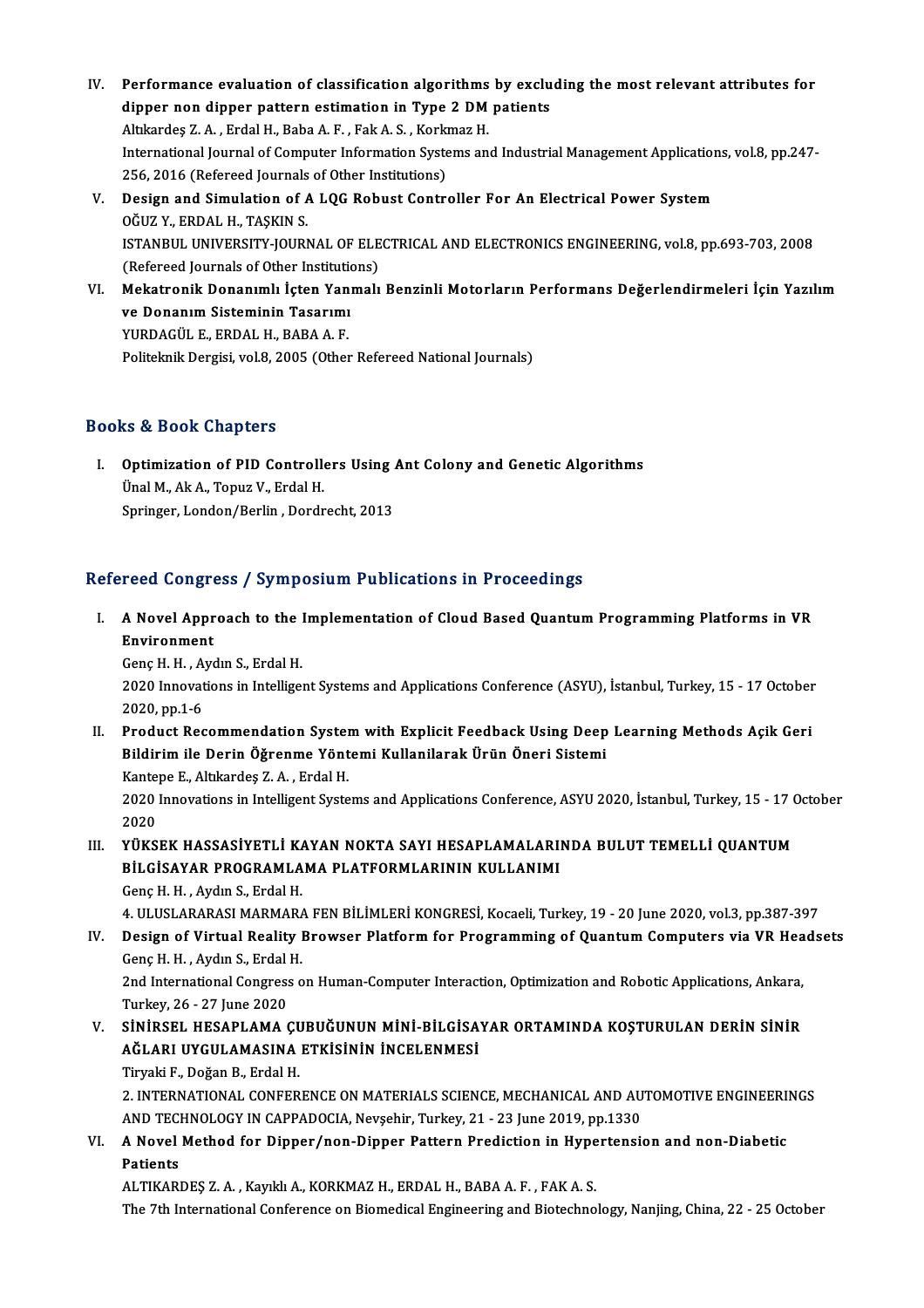- IV. Performance evaluation of classification algorithms by excluding themost relevant attributes for Performance evaluation of classification algorithms by exclu<br>dipper non dipper pattern estimation in Type 2 DM patients Performance evaluation of classification algorithms<br>dipper non dipper pattern estimation in Type 2 DM<br>Altıkardeş Z.A., Erdal H., Baba A.F., Fak A.S., Korkmaz H.<br>International Journal of Computer Information Systems on dipper non dipper pattern estimation in Type 2 DM patients<br>Altıkardeş Z. A. , Erdal H., Baba A. F. , Fak A. S. , Korkmaz H.<br>International Journal of Computer Information Systems and Industrial Management Applications, vol. Altıkardeş Z. A. , Erdal H., Baba A. F. , Fak A. S. , Kork<br>International Journal of Computer Information Syste<br>256, 2016 (Refereed Journals of Other Institutions)<br>Design and Simulation of A.LOC Bebust Contr 256, 2016 (Refereed Journals of Other Institutions)
- V. Design and Simulation of A LQG Robust Controller For An Electrical Power System OGUZ Y., ERDAL H., TASKIN S. Design and Simulation of A LQG Robust Controller For An Electrical Power System<br>OĞUZ Y., ERDAL H., TAŞKIN S.<br>ISTANBUL UNIVERSITY-JOURNAL OF ELECTRICAL AND ELECTRONICS ENGINEERING, vol.8, pp.693-703, 2008<br>(Befereed Journals OĞUZ Y., ERDAL H., TAŞKIN S.<br>ISTANBUL UNIVERSITY-JOURNAL OF ELE<br>(Refereed Journals of Other Institutions)<br>Makatranik Dananımlı İstan Yanmalı ISTANBUL UNIVERSITY-JOURNAL OF ELECTRICAL AND ELECTRONICS ENGINEERING, vol.8, pp.693-703, 2008<br>(Refereed Journals of Other Institutions)<br>VI. Mekatronik Donanımlı İçten Yanmalı Benzinli Motorların Performans Değerlendirmele
- (Refereed Journals of Other Institution<br>Mekatronik Donanımlı İçten Yanı<br>ve Donanım Sisteminin Tasarımı<br>VUPDACÜLE FRDALH PARA A E Mekatronik Donanımlı İçten Yan<br>ve Donanım Sisteminin Tasarımı<br>YURDAGÜL E., ERDAL H., BABA A. F.<br>Politelmik Dergisi yol 8,2005 (Other ve Donanım Sisteminin Tasarımı<br>PURDAGÜL E., ERDAL H., BABA A. F.<br>Politeknik Dergisi, vol.8, 2005 (Other Refereed National Journals)

# Books&Book Chapters

I. Optimization of PID Control ers Using Ant Colony and Genetic Algorithms Unal M., Ak A., Topuz V., Erdal H.<br>Ünal M., Ak A., Topuz V., Erdal H.<br>Saningen London (Berlin , Dordn Optimization of PID Controllers Using .<br>Ünal M., Ak A., Topuz V., Erdal H.<br>Springer, London/Berlin , Dordrecht, 2013 Springer, London/Berlin , Dordrecht, 2013<br>Refereed Congress / Symposium Publications in Proceedings

efereed Congress / Symposium Publications in Proceedings<br>I. A Novel Approach to the Implementation of Cloud Based Quantum Programming Platforms in VR A Novel Appr<br>Environment<br>Cons H H Ave Environment<br>Genç H. H. , Aydın S., Erdal H.

Environment<br>Genç H. H. , Aydın S., Erdal H.<br>2020 Innovations in Intelligent Systems and Applications Conference (ASYU), İstanbul, Turkey, 15 - 17 October **Genç H. H. , A<br>2020 Innovat<br>2020, pp.1-6<br>Product Boo** 2020 Innovations in Intelligent Systems and Applications Conference (ASYU), İstanbul, Turkey, 15 - 17 October<br>2020, pp.1-6<br>II. Product Recommendation System with Explicit Feedback Using Deep Learning Methods Açik Geri<br>Bild

- 2020, pp.1-6<br>Product Recommendation System with Explicit Feedback Using Deep<br>Bildirim ile Derin Öğrenme Yöntemi Kullanilarak Ürün Öneri Sistemi<br>Kantape E. Altkandes Z.A., Erdal H Product Recommendation Syster<br>Bildirim ile Derin Öğrenme Yönt<br>Kantepe E., Altıkardeş Z.A. , Erdal H.<br>2020 Innevytione in Intelligent Syste Bildirim ile Derin Öğrenme Yöntemi Kullanilarak Ürün Öneri Sistemi<br>Kantepe E., Altıkardeş Z. A. , Erdal H.<br>2020 Innovations in Intelligent Systems and Applications Conference, ASYU 2020, İstanbul, Turkey, 15 - 17 October<br>2 Kante<br>2020<br>2020<br>vü*v*s 2020 Innovations in Intelligent Systems and Applications Conference, ASYU 2020, İstanbul, Turkey, 15 - 17 (2020)<br>III. YÜKSEK HASSASİYETLİ KAYAN NOKTA SAYI HESAPLAMALARINDA BULUT TEMELLİ QUANTUM<br>PU CİSAYAR PROCRAMI AMA BI A
- 2020<br>YÜKSEK HASSASİYETLİ KAYAN NOKTA SAYI HESAPLAMALARININ KULLANIMI<br>BİLGİSAYAR PROGRAMLAMA PLATFORMLARININ KULLANIMI YÜKSEK HASSASİYETLİ KA<br>BİLGİSAYAR PROGRAMLA<br>Genç H. H. , Aydın S., Erdal H.<br>4. HI HSLARARASI MARMARA BİLGİSAYAR PROGRAMLAMA PLATFORMLARININ KULLANIMI<br>Genç H. H. , Aydın S., Erdal H.<br>4. ULUSLARARASI MARMARA FEN BİLİMLERİ KONGRESİ, Kocaeli, Turkey, 19 - 20 June 2020, vol.3, pp.387-397<br>Design of Virtual Beality Provyear Plat

Genç H. H. , Aydın S., Erdal H.<br>1. ULUSLARARASI MARMARA FEN BİLİMLERİ KONGRESİ, Kocaeli, Turkey, 19 - 20 June 2020, vol.3, pp.387-397<br>1. Design of Virtual Reality Browser Platform for Programming of Quantum Computers via V 4. ULUSLARARASI MARMARA<br>Design of Virtual Reality l<br>Genç H. H. , Aydın S., Erdal H.<br>2nd International Congress e Design of Virtual Reality Browser Platform for Programming of Quantum Computers via VR Hea<br>Genç H. H. , Aydın S., Erdal H.<br>2nd International Congress on Human-Computer Interaction, Optimization and Robotic Applications, An

Genç H. H. , Aydın S., Erdal H.<br>2nd International Congress on Human-Computer Interaction, Optimization and Robotic Applications, Ankara,<br>Turkey, 26 - 27 June 2020 2nd International Congress on Human-Computer Interaction, Optimization and Robotic Applications, Ankara,<br>Turkey, 26 - 27 June 2020<br>V. SİNİRSEL HESAPLAMA ÇUBUĞUNUN MİNİ-BİLGİSAYAR ORTAMINDA KOŞTURULAN DERİN SİNİR<br>AĞLARI UYC

Turkey, 26 - 27 June 2020<br>SİNİRSEL HESAPLAMA ÇUBUĞUNUN MİNİ-BİLGİSA<br>AĞLARI UYGULAMASINA ETKİSİNİN İNCELENMESİ<br>Tivreki E. Değen B. Erdel H SİNİRSEL HESAPLAMA ÇU<br>AĞLARI UYGULAMASINA<br>Tiryaki F., Doğan B., Erdal H.<br>2. INTERNATIONAL CONEER AĞLARI UYGULAMASINA ETKİSİNİN İNCELENMESİ<br>Tiryaki F., Doğan B., Erdal H.<br>2. INTERNATIONAL CONFERENCE ON MATERIALS SCIENCE, MECHANICAL AND AUTOMOTIVE ENGINEERINGS<br>AND TECHNOLOCY IN GARRADOCLA Newsebir Turkeyi 21, 22 kms 201

Tiryaki F., Doğan B., Erdal H.<br>2. INTERNATIONAL CONFERENCE ON MATERIALS SCIENCE, MECHANICAL AND AU<br>AND TECHNOLOGY IN CAPPADOCIA, Nevşehir, Turkey, 21 - 23 June 2019, pp.1330<br>A Novel Method for Dinner (non-Dinner Pettern-Br 2. INTERNATIONAL CONFERENCE ON MATERIALS SCIENCE, MECHANICAL AND AUTOMOTIVE ENGINEERI<br>AND TECHNOLOGY IN CAPPADOCIA, Nevşehir, Turkey, 21 - 23 June 2019, pp.1330<br>VI. A Novel Method for Dipper/non-Dipper Pattern Prediction i

AND TECHNOLOGY IN CAPPADOCIA, Nevşehir, Turkey, 21 - 23 June 2019, pp.1330<br>VI. A Novel Method for Dipper/non-Dipper Pattern Prediction in Hypertension and non-Diabetic<br>Patients

ALTIKARDEŞ Z. A., Kayıklı A., KORKMAZ H., ERDAL H., BABA A. F., FAK A. S.

The 7th International Conference on Biomedical Engineering and Biotechnology, Nanjing, China, 22 - 25 October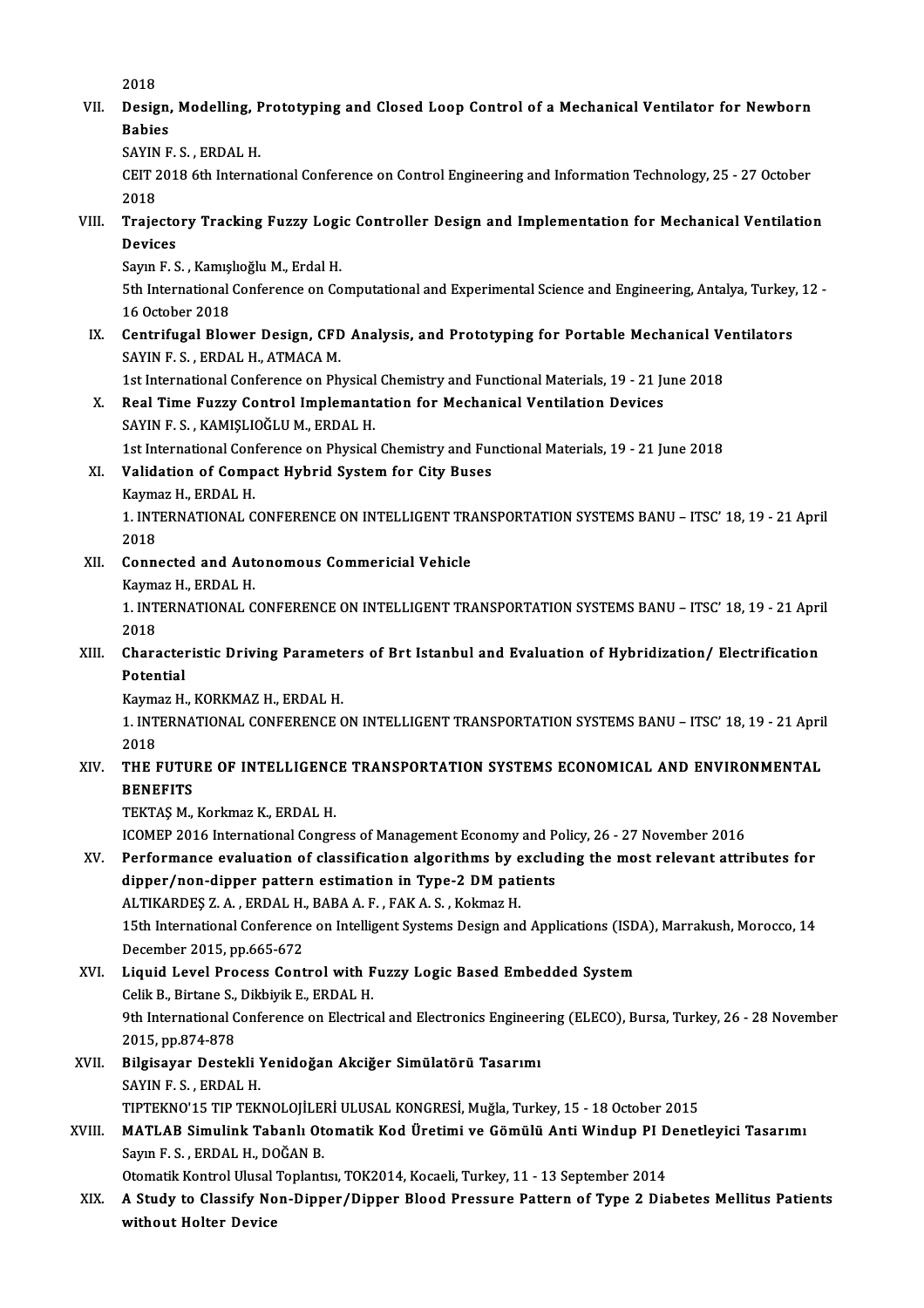2018

2018<br>VII. Design, Modelling, Prototyping and Closed Loop Control of a Mechanical Ventilator for Newborn<br>Rabies 2018<br>Design,<br>Babies<br>SAVIN E Design, Modelling, <mark>F</mark><br>Babies<br>SAYIN F. S. , ERDAL H.<br>CELT 2019 Eth Interna

Babies<br>SAYIN F. S. , ERDAL H.<br>CEIT 2018 6th International Conference on Control Engineering and Information Technology, 25 - 27 October<br>2018 SAYIN<br>CEIT 2<br>2018<br>Traie CEIT 2018 6th International Conference on Control Engineering and Information Technology, 25 - 27 October<br>2018<br>VIII. Trajectory Tracking Fuzzy Logic Controller Design and Implementation for Mechanical Ventilation<br>Devis

2018<br>Trajecto<br>Devices<br>Saun E.S Trajectory Tracking Fuzzy Logi<br>Devices<br>Sayın F. S. , Kamışlıoğlu M., Erdal H.<br>Eth International Conference en Co

Devices<br>Sayın F. S. , Kamışlıoğlu M., Erdal H.<br>5th International Conference on Computational and Experimental Science and Engineering, Antalya, Turkey, 12 -<br>16 Osteber 2018 Sayın F. S. , Kamış<br>5th International<br>16 October 2018<br>Contrifugal Plat 5th International Conference on Computational and Experimental Science and Engineering, Antalya, Turkey<br>16 October 2018<br>IX. Centrifugal Blower Design, CFD Analysis, and Prototyping for Portable Mechanical Ventilators<br>SAVIN

16 October 2018<br>IX. Centrifugal Blower Design, CFD Analysis, and Prototyping for Portable Mechanical Ventilators<br>SAYIN F. S., ERDAL H., ATMACA M. Centrifugal Blower Design, CFD Analysis, and Prototyping for Portable Mechanical Ve<br>SAYIN F. S. , ERDAL H., ATMACA M.<br>1st International Conference on Physical Chemistry and Functional Materials, 19 - 21 June 2018<br>Real Time

# SAYIN F. S., ERDAL H., ATMACA M.<br>1st International Conference on Physical Chemistry and Functional Materials, 19 - 21 Ju<br>X. Real Time Fuzzy Control Implemantation for Mechanical Ventilation Devices<br>SAVIN E.S. KAMISLIOČLUM, 1st International Conference on Physical<br>Real Time Fuzzy Control Implemant:<br>SAYIN F. S., KAMIŞLIOĞLU M., ERDAL H.<br>1st International Conference on Physical Real Time Fuzzy Control Implemantation for Mechanical Ventilation Devices<br>SAYIN F. S. , KAMIȘLIOĞLU M., ERDAL H.<br>1st International Conference on Physical Chemistry and Functional Materials, 19 - 21 June 2018<br>Velidation of SAYIN F. S., KAMIŞLIOĞLU M., ERDAL H.<br>1st International Conference on Physical Chemistry and Ful<br>XI. Validation of Compact Hybrid System for City Buses<br>Kaymaz H., ERDAL H.

# 1st International Cons<br>**Validation of Comp**<br>Kaymaz H., ERDAL H.<br>1. INTERNATIONAL C

Validation of Compact Hybrid System for City Buses<br>Kaymaz H., ERDAL H.<br>1. INTERNATIONAL CONFERENCE ON INTELLIGENT TRANSPORTATION SYSTEMS BANU – ITSC' 18, 19 - 21 April<br>2018 Kayma<br>1. INT<br>2018<br>Conn 1. INTERNATIONAL CONFERENCE ON INTELLIGENT TRA<br>2018<br>XII. Connected and Autonomous Commericial Vehicle<br>Kaumaz H. EPDAL H.

# 2018<br>XII. Connected and Autonomous Commericial Vehicle<br>Kaymaz H., ERDAL H.

Connected and Autonomous Commericial Vehicle<br>Kaymaz H., ERDAL H.<br>1. INTERNATIONAL CONFERENCE ON INTELLIGENT TRANSPORTATION SYSTEMS BANU – ITSC' 18, 19 - 21 April<br>2018 Kayma<br>1. INT<br>2018<br>Chara 1. INTERNATIONAL CONFERENCE ON INTELLIGENT TRANSPORTATION SYSTEMS BANU – ITSC' 18, 19 - 21 Apri<br>2018<br>XIII. Characteristic Driving Parameters of Brt Istanbul and Evaluation of Hybridization/ Electrification<br>Patential

# 2018<br>Charactel<br>Potential<br>Kaumar H Characteristic Driving Paramete<br>Potential<br>Kaymaz H., KORKMAZ H., ERDAL H.<br>1. INTERNATIONAL CONEERENCE C

Potential<br>Kaymaz H., KORKMAZ H., ERDAL H.<br>1. INTERNATIONAL CONFERENCE ON INTELLIGENT TRANSPORTATION SYSTEMS BANU – ITSC' 18, 19 - 21 April<br>2018 Kayma<br>1. INT<br>2018<br>TUF I 1. INTERNATIONAL CONFERENCE ON INTELLIGENT TRANSPORTATION SYSTEMS BANU – ITSC' 18, 19 - 21 Apri<br>2018<br>XIV. THE FUTURE OF INTELLIGENCE TRANSPORTATION SYSTEMS ECONOMICAL AND ENVIRONMENTAL

# 2018<br>THE FUTUI<br>BENEFITS<br>TEVTAS M THE FUTURE OF INTELLIGEN<mark>C</mark><br>BENEFITS<br>TEKTAŞ M., Korkmaz K., ERDAL H.<br>ICOMER 2016 International Congr BENEFITS<br>TEKTAŞ M., Korkmaz K., ERDAL H.<br>ICOMEP 2016 International Congress of Management Economy and Policy, 26 - 27 November 2016

TEKTAŞ M., Korkmaz K., ERDAL H.<br>ICOMEP 2016 International Congress of Management Economy and Policy, 26 - 27 November 2016<br>XV. Performance evaluation of classification algorithms by excluding the most relevant attributes f ICOMEP 2016 International Congress of Management Economy and P<br>Performance evaluation of classification algorithms by exclud<br>dipper/non-dipper pattern estimation in Type-2 DM patients<br>ALTIKARDES Z A. ERDAL H. BABA A E. EAK Performance evaluation of classification algorithms by e<br>dipper/non-dipper pattern estimation in Type-2 DM pati<br>ALTIKARDEŞ Z.A., ERDAL H., BABA A.F., FAK A.S., Kokmaz H.<br>15th International Conference on Intelligent Systems dipper/non-dipper pattern estimation in Type-2 DM patients<br>ALTIKARDEŞ Z. A. , ERDAL H., BABA A. F. , FAK A. S. , Kokmaz H.<br>15th International Conference on Intelligent Systems Design and Applications (ISDA), Marrakush, Mor

ALTIKARDEŞ Z. A. , ERDAL H.,<br>15th International Conference<br>December 2015, pp.665-672<br>Liquid Lovel Process Cont 15th International Conference on Intelligent Systems Design and Applications (ISD<br>December 2015, pp.665-672<br>XVI. Liquid Level Process Control with Fuzzy Logic Based Embedded System<br>Colik B. Birtane S. Dikbivik E. EPDAL H

# December 2015, pp.665-672<br>XVI. Liquid Level Process Control with Fuzzy Logic Based Embedded System<br>Celik B., Birtane S., Dikbiyik E., ERDAL H. Liquid Level Process Control with Fuzzy Logic Based Embedded System<br>Celik B., Birtane S., Dikbiyik E., ERDAL H.<br>9th International Conference on Electrical and Electronics Engineering (ELECO), Bursa, Turkey, 26 - 28 Novembe Celik B., Birtane S.,<br>9th International C<br>2015, pp.874-878<br>Bilgiosuar Deste 9th International Conference on Electrical and Electronics Engineer<br>2015, pp.874-878<br>XVII. Bilgisayar Destekli Yenidoğan Akciğer Simülatörü Tasarımı<br>SAVIN E.S. EPDAL H

# 2015, pp.874-878<br>Bilgisayar Destekli !<br>SAYIN F. S. , ERDAL H.<br>TIPTEKNO'15 TIP TEK SAYIN F. S. , ERDAL H.<br>TIPTEKNO'15 TIP TEKNOLOJİLERİ ULUSAL KONGRESİ, Muğla, Turkey, 15 - 18 October 2015 SAYIN F. S. , ERDAL H.<br>TIPTEKNO'15 TIP TEKNOLOJİLERİ ULUSAL KONGRESİ, Muğla, Turkey, 15 - 18 October 2015<br>XVIII. MATLAB Simulink Tabanlı Otomatik Kod Üretimi ve Gömülü Anti Windup PI Denetleyici Tasarımı<br>Sayın E. S. EP

TIPTEKNO'15 TIP TEKNOLOJİLE<br>MATLAB Simulink Tabanlı Ot<br>Sayın F. S. , ERDAL H., DOĞAN B.<br>Otamatik Kantral Ulusal Tanlantı MATLAB Simulink Tabanlı Otomatik Kod Üretimi ve Gömülü Anti Windup PI D<br>Sayın F. S. , ERDAL H., DOĞAN B.<br>Otomatik Kontrol Ulusal Toplantısı, TOK2014, Kocaeli, Turkey, 11 - 13 September 2014<br>A Study te Classify Non Dinney ( XIX. A Study to Classify Non-Dipper/Dipper Blood Pressure Pattern of Type 2014<br>XIX. A Study to Classify Non-Dipper/Dipper Blood Pressure Pattern of Type 2 Diabetes Mellitus Patients

without Holter Device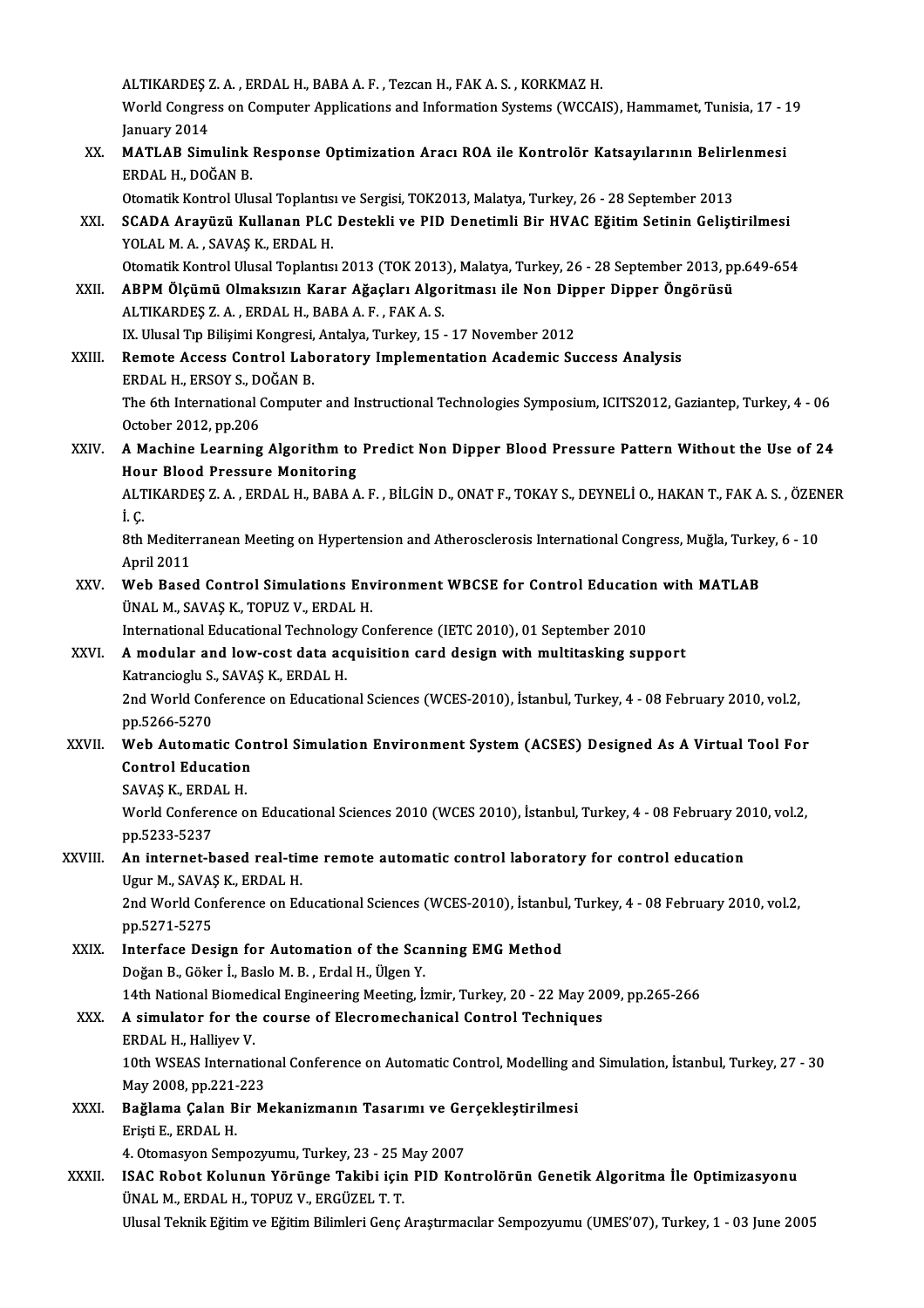|         | ALTIKARDEŞ Z.A., ERDAL H., BABA A.F., Tezcan H., FAK A.S., KORKMAZ H.                                                                                                                                                                         |
|---------|-----------------------------------------------------------------------------------------------------------------------------------------------------------------------------------------------------------------------------------------------|
|         | World Congress on Computer Applications and Information Systems (WCCAIS), Hammamet, Tunisia, 17 - 19<br>January 2014                                                                                                                          |
| XX.     | MATLAB Simulink Response Optimization Aracı ROA ile Kontrolör Katsayılarının Belirlenmesi<br>ERDAL H., DOĞAN B.                                                                                                                               |
|         | Otomatik Kontrol Ulusal Toplantısı ve Sergisi, TOK2013, Malatya, Turkey, 26 - 28 September 2013                                                                                                                                               |
| XXI.    | SCADA Arayüzü Kullanan PLC Destekli ve PID Denetimli Bir HVAC Eğitim Setinin Geliştirilmesi<br>YOLAL M. A., SAVAŞ K., ERDAL H.                                                                                                                |
| XXII.   | Otomatik Kontrol Ulusal Toplantısı 2013 (TOK 2013), Malatya, Turkey, 26 - 28 September 2013, pp.649-654<br>ABPM Ölçümü Olmaksızın Karar Ağaçları Algoritması ile Non Dipper Dipper Öngörüsü<br>ALTIKARDES Z.A., ERDAL H., BABA A.F., FAK A.S. |
|         | IX. Ulusal Tıp Bilişimi Kongresi, Antalya, Turkey, 15 - 17 November 2012                                                                                                                                                                      |
| XXIII.  | Remote Access Control Laboratory Implementation Academic Success Analysis<br>ERDAL H., ERSOY S., DOĞAN B.                                                                                                                                     |
|         | The 6th International Computer and Instructional Technologies Symposium, ICITS2012, Gaziantep, Turkey, 4 - 06<br>October 2012, pp 206                                                                                                         |
| XXIV.   | A Machine Learning Algorithm to Predict Non Dipper Blood Pressure Pattern Without the Use of 24<br><b>Hour Blood Pressure Monitoring</b>                                                                                                      |
|         | ALTIKARDEŞ Z. A., ERDAL H., BABA A. F., BİLGİN D., ONAT F., TOKAY S., DEYNELİ O., HAKAN T., FAK A. S., ÖZENER<br>i c                                                                                                                          |
|         | 8th Mediterranean Meeting on Hypertension and Atherosclerosis International Congress, Muğla, Turkey, 6 - 10<br>April 2011                                                                                                                     |
| XXV.    | Web Based Control Simulations Environment WBCSE for Control Education with MATLAB<br>ÜNAL M., SAVAŞ K., TOPUZ V., ERDAL H.                                                                                                                    |
|         | International Educational Technology Conference (IETC 2010), 01 September 2010                                                                                                                                                                |
| XXVI.   | A modular and low-cost data acquisition card design with multitasking support<br>Katrancioglu S., SAVAŞ K., ERDAL H.                                                                                                                          |
|         | 2nd World Conference on Educational Sciences (WCES-2010), İstanbul, Turkey, 4 - 08 February 2010, vol.2,<br>pp 5266-5270                                                                                                                      |
| XXVII.  | Web Automatic Control Simulation Environment System (ACSES) Designed As A Virtual Tool For<br><b>Control Education</b>                                                                                                                        |
|         | SAVAŞ K., ERDAL H.                                                                                                                                                                                                                            |
|         | World Conference on Educational Sciences 2010 (WCES 2010), İstanbul, Turkey, 4 - 08 February 2010, vol.2,<br>pp.5233-5237                                                                                                                     |
| XXVIII. | An internet-based real-time remote automatic control laboratory for control education<br>Ugur M., SAVAŞ K., ERDAL H.                                                                                                                          |
|         | 2nd World Conference on Educational Sciences (WCES-2010), İstanbul, Turkey, 4 - 08 February 2010, vol.2,<br>pp 5271-5275                                                                                                                      |
| XXIX.   | Interface Design for Automation of the Scanning EMG Method                                                                                                                                                                                    |
|         | Doğan B., Göker İ., Baslo M. B., Erdal H., Ülgen Y.                                                                                                                                                                                           |
|         | 14th National Biomedical Engineering Meeting, İzmir, Turkey, 20 - 22 May 2009, pp.265-266                                                                                                                                                     |
| XXX.    | A simulator for the course of Elecromechanical Control Techniques<br>ERDAL H., Halliyev V.                                                                                                                                                    |
|         | 10th WSEAS International Conference on Automatic Control, Modelling and Simulation, İstanbul, Turkey, 27 - 30<br>May 2008, pp 221-223                                                                                                         |
| XXXI.   | Bağlama Çalan Bir Mekanizmanın Tasarımı ve Gerçekleştirilmesi                                                                                                                                                                                 |
|         | Erişti E, ERDAL H.                                                                                                                                                                                                                            |
| XXXII.  | 4. Otomasyon Sempozyumu, Turkey, 23 - 25 May 2007<br>ISAC Robot Kolunun Yörünge Takibi için PID Kontrolörün Genetik Algoritma İle Optimizasyonu<br>ÜNAL M., ERDAL H., TOPUZ V., ERGÜZEL T. T.                                                 |
|         | Ulusal Teknik Eğitim ve Eğitim Bilimleri Genç Araştırmacılar Sempozyumu (UMES'07), Turkey, 1 - 03 June 2005                                                                                                                                   |
|         |                                                                                                                                                                                                                                               |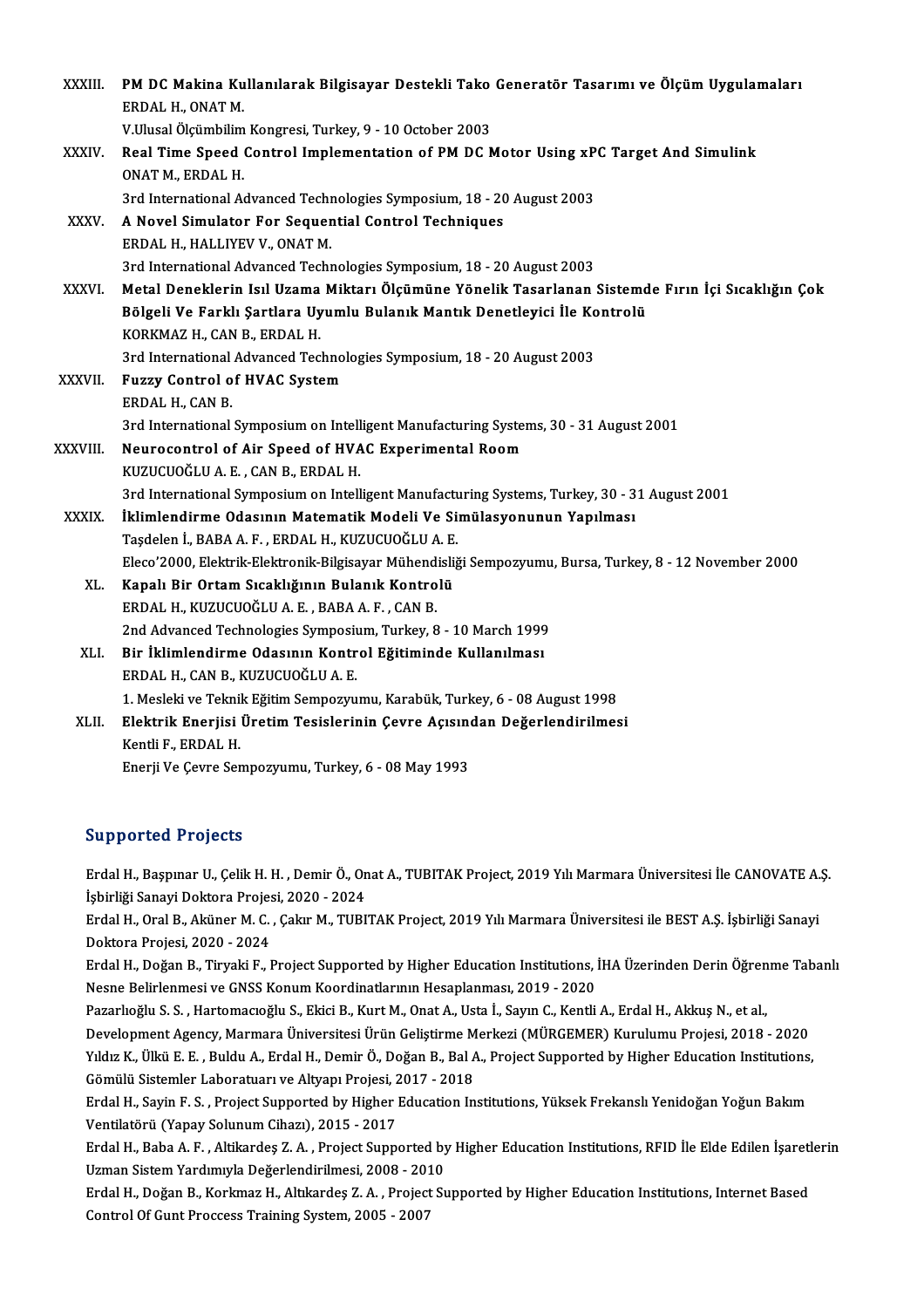| XXXIII.       | PM DC Makina Kullanılarak Bilgisayar Destekli Tako Generatör Tasarımı ve Ölçüm Uygulamaları              |
|---------------|----------------------------------------------------------------------------------------------------------|
|               | ERDAL H., ONAT M.                                                                                        |
|               | V.Ulusal Ölçümbilim Kongresi, Turkey, 9 - 10 October 2003                                                |
| XXXIV.        | Real Time Speed Control Implementation of PM DC Motor Using xPC Target And Simulink<br>ONAT M., ERDAL H. |
|               | 3rd International Advanced Technologies Symposium, 18 - 20 August 2003                                   |
| XXXV.         | A Novel Simulator For Sequential Control Techniques                                                      |
|               | ERDAL H., HALLIYEV V., ONAT M.                                                                           |
|               | 3rd International Advanced Technologies Symposium, 18 - 20 August 2003                                   |
| <b>XXXVI</b>  | Metal Deneklerin Isıl Uzama Miktarı Ölçümüne Yönelik Tasarlanan Sistemde Fırın İçi Sıcaklığın Çok        |
|               | Bölgeli Ve Farklı Şartlara Uyumlu Bulanık Mantık Denetleyici İle Kontrolü                                |
|               | KORKMAZ H., CAN B., ERDAL H.                                                                             |
|               | 3rd International Advanced Technologies Symposium, 18 - 20 August 2003                                   |
| <b>XXXVII</b> | <b>Fuzzy Control of HVAC System</b>                                                                      |
|               | ERDAL H, CAN B                                                                                           |
|               | 3rd International Symposium on Intelligent Manufacturing Systems, 30 - 31 August 2001                    |
| XXXVIII.      | Neurocontrol of Air Speed of HVAC Experimental Room                                                      |
|               | KUZUCUOĞLU A.E., CAN B., ERDAL H.                                                                        |
|               | 3rd International Symposium on Intelligent Manufacturing Systems, Turkey, 30 - 31 August 2001            |
| XXXIX.        | İklimlendirme Odasının Matematik Modeli Ve Simülasyonunun Yapılması                                      |
|               | Taşdelen İ., BABA A. F., ERDAL H., KUZUCUOĞLU A. E.                                                      |
|               | Eleco'2000, Elektrik-Elektronik-Bilgisayar Mühendisliği Sempozyumu, Bursa, Turkey, 8 - 12 November 2000  |
| XL.           | Kapalı Bir Ortam Sıcaklığının Bulanık Kontrolü                                                           |
|               | ERDAL H., KUZUCUOĞLU A. E., BABA A. F., CAN B.                                                           |
|               | 2nd Advanced Technologies Symposium, Turkey, 8 - 10 March 1999                                           |
| XLI.          | Bir İklimlendirme Odasının Kontrol Eğitiminde Kullanılması                                               |
|               | ERDAL H., CAN B., KUZUCUOĞLU A. E.                                                                       |
|               | 1. Mesleki ve Teknik Eğitim Sempozyumu, Karabük, Turkey, 6 - 08 August 1998                              |
| XLII.         | Elektrik Enerjisi Üretim Tesislerinin Çevre Açısından Değerlendirilmesi                                  |
|               | Kentli F, ERDAL H.                                                                                       |
|               | Enerji Ve Çevre Sempozyumu, Turkey, 6 - 08 May 1993                                                      |

# Supported Projects

Supported Projects<br>Erdal H., Başpınar U., Çelik H. H. , Demir Ö., Onat A., TUBITAK Project, 2019 Yılı Marmara Üniversitesi İle CANOVATE A.Ş.<br>İshirliği Sanayi Dektera Projesi 2020, 2024 Bupportou 1199002<br>Erdal H., Başpınar U., Çelik H. H. , Demir Ö., On<br>İşbirliği Sanayi Doktora Projesi, 2020 - 2024<br>Frdal H. Oral B. Aküner M. G. Calar M. TUPI Erdal H., Başpınar U., Çelik H. H. , Demir Ö., Onat A., TUBITAK Project, 2019 Yılı Marmara Üniversitesi İle CANOVATE A.<br>İşbirliği Sanayi Doktora Projesi, 2020 - 2024<br>Erdal H., Oral B., Aküner M. C. , Çakır M., TUBITAK Proj

İşbirliği Sanayi Doktora Projesi, 2020 - 2024<br>Erdal H., Oral B., Aküner M. C. , Çakır M., TUBITAK Project, 2019 Yılı Marmara Üniversitesi ile BEST A.Ş. İşbirliği Sanayi<br>Doktora Projesi, 2020 - 2024 Erdal H., Oral B., Aküner M. C. , Çakır M., TUBITAK Project, 2019 Yılı Marmara Üniversitesi ile BEST A.Ş. İşbirliği Sanayi<br>Doktora Projesi, 2020 - 2024<br>Erdal H., Doğan B., Tiryaki F., Project Supported by Higher Education

Doktora Projesi, 2020 - 2024<br>Erdal H., Doğan B., Tiryaki F., Project Supported by Higher Education Institutions, İ<br>Nesne Belirlenmesi ve GNSS Konum Koordinatlarının Hesaplanması, 2019 - 2020<br>Pararkoğlu S. S., Hartomagrağlu Erdal H., Doğan B., Tiryaki F., Project Supported by Higher Education Institutions, İHA Üzerinden Derin Öğren<br>Nesne Belirlenmesi ve GNSS Konum Koordinatlarının Hesaplanması, 2019 - 2020<br>Pazarlıoğlu S. S. , Hartomacıoğlu S.

Nesne Belirlenmesi ve GNSS Konum Koordinatlarının Hesaplanması, 2019 - 2020<br>Pazarlıoğlu S. S. , Hartomacıoğlu S., Ekici B., Kurt M., Onat A., Usta İ., Sayın C., Kentli A., Erdal H., Akkuş N., et al.,<br>Development Agency, Ma Pazarlıoğlu S. S. , Hartomacıoğlu S., Ekici B., Kurt M., Onat A., Usta İ., Sayın C., Kentli A., Erdal H., Akkuş N., et al.,<br>Development Agency, Marmara Üniversitesi Ürün Geliştirme Merkezi (MÜRGEMER) Kurulumu Projesi, 2018 Development Agency, Marmara Üniversitesi Ürün Geliştirme M<br>Yıldız K., Ülkü E. E. , Buldu A., Erdal H., Demir Ö., Doğan B., Bal A<br>Gömülü Sistemler Laboratuarı ve Altyapı Projesi, 2017 - 2018<br>Erdal H. Savin E. S., Project Su Yıldız K., Ülkü E. E. , Buldu A., Erdal H., Demir Ö., Doğan B., Bal A., Project Supported by Higher Education Institutions,<br>Gömülü Sistemler Laboratuarı ve Altyapı Projesi, 2017 - 2018<br>Erdal H., Sayin F. S. , Project Suppo

Gömülü Sistemler Laboratuarı ve Altyapı Projesi, 2017 - 2018<br>Erdal H., Sayin F. S. , Project Supported by Higher Education Institutions, Yüksek Frekanslı Yenidoğan Yoğun Bakım<br>Ventilatörü (Yapay Solunum Cihazı), 2015 - 201 Erdal H., Sayin F. S. , Project Supported by Higher Education Institutions, Yüksek Frekanslı Yenidoğan Yoğun Bakım<br>Ventilatörü (Yapay Solunum Cihazı), 2015 - 2017<br>Erdal H., Baba A. F. , Altikardeş Z. A. , Project Supported

Ventilatörü (Yapay Solunum Cihazı), 2015 - 2017<br>Erdal H., Baba A. F. , Altikardeş Z. A. , Project Supported by<br>Uzman Sistem Yardımıyla Değerlendirilmesi, 2008 - 2010<br>Erdal H. Değan B. Korlmas H. Altılardes Z. A. Project Sı Erdal H., Baba A. F. , Altikardeş Z. A. , Project Supported by Higher Education Institutions, RFID İle Elde Edilen İşaretl<br>Uzman Sistem Yardımıyla Değerlendirilmesi, 2008 - 2010<br>Erdal H., Doğan B., Korkmaz H., Altıkardeş Z

Uzman Sistem Yardımıyla Değerlendirilmesi, 2008 - 2010<br>Erdal H., Doğan B., Korkmaz H., Altıkardeş Z. A. , Project Supported by Higher Education Institutions, Internet Based<br>Control Of Gunt Proccess Training System, 2005 -